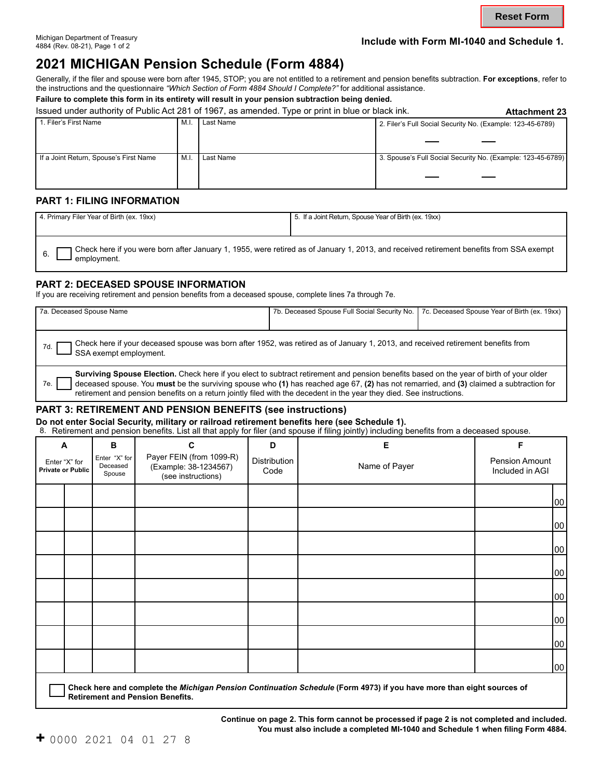# Michigan Department of Treasury **Include with Form MI-1040 and Schedule 1.** 4884 (Rev. 08-21), Page 1 of 2

# **2021 MICHIGAN Pension Schedule (Form 4884)**

Generally, if the filer and spouse were born after 1945, STOP; you are not entitled to a retirement and pension benefits subtraction. **For exceptions**, refer to the instructions and the questionnaire *"Which Section of Form 4884 Should I Complete?"* for additional assistance.

**Failure to complete this form in its entirety will result in your pension subtraction being denied.** 

|                                        |     | Issued under authority of Public Act 281 of 1967, as amended. Type or print in blue or black ink. | <b>Attachment 23</b>                                        |
|----------------------------------------|-----|---------------------------------------------------------------------------------------------------|-------------------------------------------------------------|
| 1. Filer's First Name                  | M.I | Last Name                                                                                         | 2. Filer's Full Social Security No. (Example: 123-45-6789)  |
|                                        |     |                                                                                                   |                                                             |
|                                        |     |                                                                                                   |                                                             |
| If a Joint Return, Spouse's First Name | M.I | Last Name                                                                                         | 3. Spouse's Full Social Security No. (Example: 123-45-6789) |
|                                        |     |                                                                                                   |                                                             |
|                                        |     |                                                                                                   |                                                             |
|                                        |     |                                                                                                   |                                                             |

#### **PART 1: FILING INFORMATION**

| 4. Primary Filer Year of Birth (ex. 19xx)                                                                                                               | 5. If a Joint Return, Spouse Year of Birth (ex. 19xx) |  |  |  |  |
|---------------------------------------------------------------------------------------------------------------------------------------------------------|-------------------------------------------------------|--|--|--|--|
|                                                                                                                                                         |                                                       |  |  |  |  |
| Tcheck here if you were born after January 1, 1955, were retired as of January 1, 2013, and received retirement benefits from SSA exempt<br>employment. |                                                       |  |  |  |  |

### **PART 2: DECEASED SPOUSE INFORMATION**

If you are receiving retirement and pension benefits from a deceased spouse, complete lines 7a through 7e.

| 7a. Deceased Spouse Name                                                                                                                                                                                                                                                                                                                                                                                         |  | 7b. Deceased Spouse Full Social Security No. 7c. Deceased Spouse Year of Birth (ex. 19xx) |  |  |  |  |
|------------------------------------------------------------------------------------------------------------------------------------------------------------------------------------------------------------------------------------------------------------------------------------------------------------------------------------------------------------------------------------------------------------------|--|-------------------------------------------------------------------------------------------|--|--|--|--|
| Check here if your deceased spouse was born after 1952, was retired as of January 1, 2013, and received retirement benefits from<br>7d.<br>SSA exempt employment.                                                                                                                                                                                                                                                |  |                                                                                           |  |  |  |  |
| Surviving Spouse Election. Check here if you elect to subtract retirement and pension benefits based on the year of birth of your older<br>deceased spouse. You must be the surviving spouse who (1) has reached age 67, (2) has not remarried, and (3) claimed a subtraction for<br>7e.<br>retirement and pension benefits on a return jointly filed with the decedent in the year they died. See instructions. |  |                                                                                           |  |  |  |  |

#### **PART 3: RETIREMENT AND PENSION BENEFITS (see instructions)**

**Do not enter Social Security, military or railroad retirement benefits here (see Schedule 1).**

8. Retirement and pension benefits. List all that apply for filer (and spouse if filing jointly) including benefits from a deceased spouse.

| A                                         |  | B                                   | .<br>C                                                                  | D                    | Е                                                                                                                     | F                                 |  |
|-------------------------------------------|--|-------------------------------------|-------------------------------------------------------------------------|----------------------|-----------------------------------------------------------------------------------------------------------------------|-----------------------------------|--|
| Enter "X" for<br><b>Private or Public</b> |  | Enter "X" for<br>Deceased<br>Spouse | Payer FEIN (from 1099-R)<br>(Example: 38-1234567)<br>(see instructions) | Distribution<br>Code | Name of Payer                                                                                                         | Pension Amount<br>Included in AGI |  |
|                                           |  |                                     |                                                                         |                      |                                                                                                                       | 00                                |  |
|                                           |  |                                     |                                                                         |                      |                                                                                                                       | 00                                |  |
|                                           |  |                                     |                                                                         |                      |                                                                                                                       | 00                                |  |
|                                           |  |                                     |                                                                         |                      |                                                                                                                       | 00                                |  |
|                                           |  |                                     |                                                                         |                      |                                                                                                                       | 00                                |  |
|                                           |  |                                     |                                                                         |                      |                                                                                                                       | 00                                |  |
|                                           |  |                                     |                                                                         |                      |                                                                                                                       | 00                                |  |
|                                           |  |                                     |                                                                         |                      |                                                                                                                       | 00                                |  |
|                                           |  |                                     |                                                                         |                      | Check here and complete the Michigan Pension Continuation Schedule (Form 4973) if you have more than eight sources of |                                   |  |

**Retirement and Pension Benefits.** 

**Continue on page 2. This form cannot be processed if page 2 is not completed and included. You must also include a completed MI-1040 and Schedule 1 when filing Form 4884.**